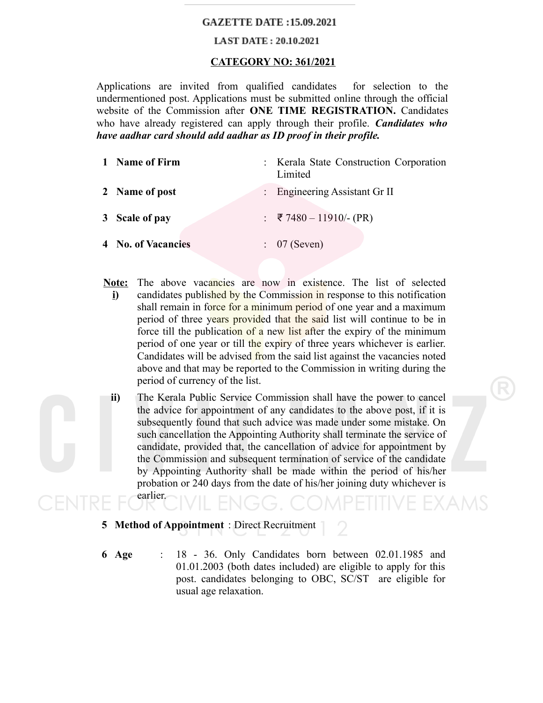# **GAZETTE DATE: 15.09.2021**

### **LAST DATE: 20.10.2021**

# **CATEGORY NO: 361/2021**

Applications are invited from qualified candidates for selection to the undermentioned post. Applications must be submitted online through the official website of the Commission after **ONE TIME REGISTRATION.** Candidates who have already registered can apply through their profile. *Candidates who have aadhar card should add aadhar as ID proof in their profile.*

| 1 Name of Firm     | : Kerala State Construction Corporation<br>Limited |
|--------------------|----------------------------------------------------|
| 2 Name of post     | : Engineering Assistant Gr II                      |
| 3 Scale of pay     | : ₹7480 - 11910/- (PR)                             |
| 4 No. of Vacancies | $\therefore$ 07 (Seven)                            |

- **Note: i)** The above vacancies are now in existence. The list of selected candidates published by the Commission in response to this notification shall remain in force for a minimum period of one year and a maximum period of three years provided that the said list will continue to be in force till the publication of a new list after the expiry of the minimum period of one year or till the expiry of three years whichever is earlier. Candidates will be advised from the said list against the vacancies noted above and that may be reported to the Commission in writing during the period of currency of the list.
	- **ii)** The Kerala Public Service Commission shall have the power to cancel the advice for appointment of any candidates to the above post, if it is subsequently found that such advice was made under some mistake. On such cancellation the Appointing Authority shall terminate the service of candidate, provided that, the cancellation of advice for appointment by the Commission and subsequent termination of service of the candidate by Appointing Authority shall be made within the period of his/her probation or 240 days from the date of his/her joining duty whichever is earlier.

**5 Method of Appointment** : Direct Recruitment

**6 Age** : 18 - 36. Only Candidates born between 02.01.1985 and 01.01.2003 (both dates included) are eligible to apply for this post. candidates belonging to OBC, SC/ST are eligible for usual age relaxation.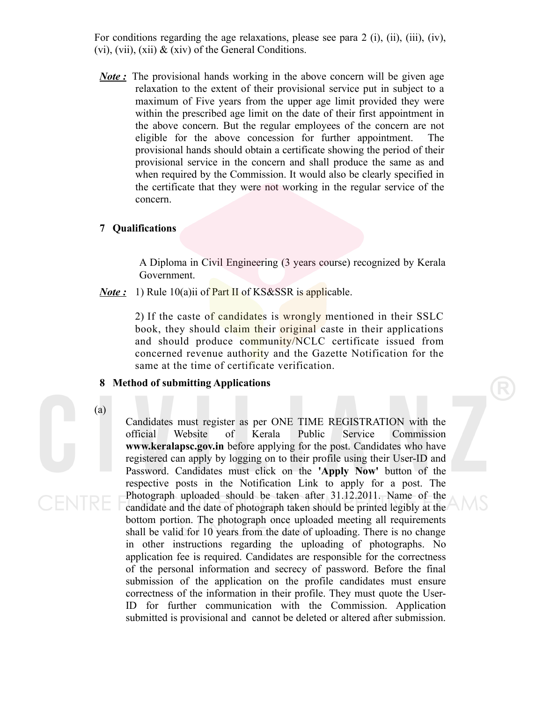For conditions regarding the age relaxations, please see para 2 (i), (ii), (iii), (iv), (vi), (vii), (xii)  $\&$  (xiv) of the General Conditions.

*Note*: The provisional hands working in the above concern will be given age relaxation to the extent of their provisional service put in subject to a maximum of Five years from the upper age limit provided they were within the prescribed age limit on the date of their first appointment in the above concern. But the regular employees of the concern are not eligible for the above concession for further appointment. The provisional hands should obtain a certificate showing the period of their provisional service in the concern and shall produce the same as and when required by the Commission. It would also be clearly specified in the certificate that they were not working in the regular service of the concern.

#### **7 Qualifications**

A Diploma in Civil Engineering (3 years course) recognized by Kerala Government.

*Note*: 1) Rule 10(a)ii of **Part II** of KS&SSR is applicable.

2) If the caste of candidates is wrongly mentioned in their SSLC book, they should claim their original caste in their applications and should produce community/NCLC certificate issued from concerned revenue authority and the Gazette Notification for the same at the time of certificate verification.

### **8 Method of submitting Applications**

(a)

Candidates must register as per ONE TIME REGISTRATION with the official Website of Kerala Public Service Commission **www.keralapsc.gov.in** before applying for the post. Candidates who have registered can apply by logging on to their profile using their User-ID and Password. Candidates must click on the **'Apply Now'** button of the respective posts in the Notification Link to apply for a post. The Photograph uploaded should be taken after 31.12.2011. Name of the candidate and the date of photograph taken should be printed legibly at the bottom portion. The photograph once uploaded meeting all requirements shall be valid for 10 years from the date of uploading. There is no change in other instructions regarding the uploading of photographs. No application fee is required. Candidates are responsible for the correctness of the personal information and secrecy of password. Before the final submission of the application on the profile candidates must ensure correctness of the information in their profile. They must quote the User-ID for further communication with the Commission. Application submitted is provisional and cannot be deleted or altered after submission.